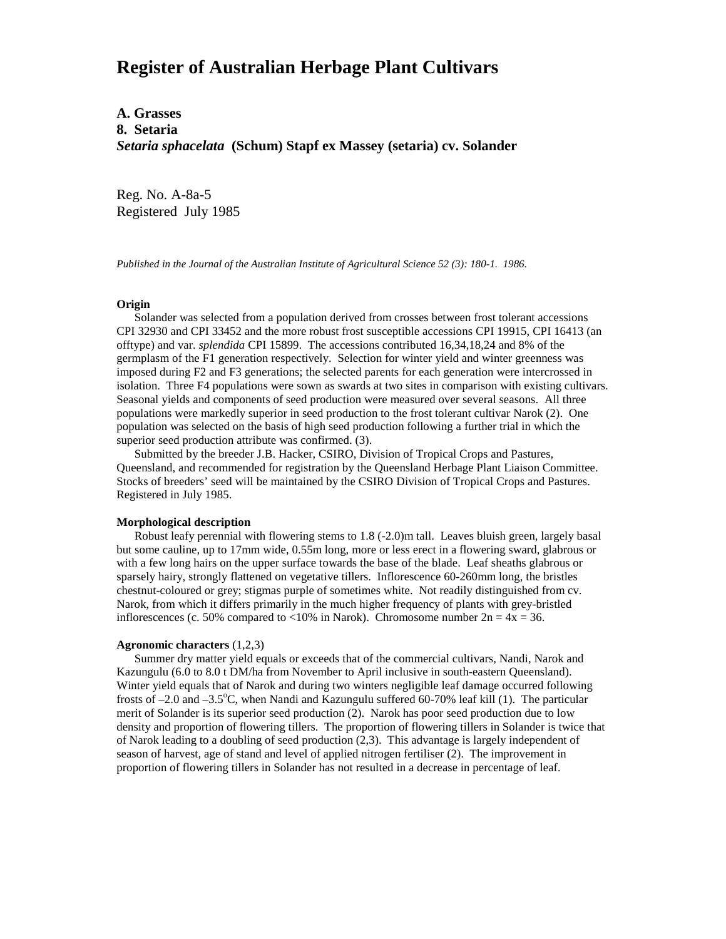## **Register of Australian Herbage Plant Cultivars**

**A. Grasses 8. Setaria** *Setaria sphacelata* **(Schum) Stapf ex Massey (setaria) cv. Solander**

Reg. No. A-8a-5 Registered July 1985

*Published in the Journal of the Australian Institute of Agricultural Science 52 (3): 180-1. 1986.*

## **Origin**

 Solander was selected from a population derived from crosses between frost tolerant accessions CPI 32930 and CPI 33452 and the more robust frost susceptible accessions CPI 19915, CPI 16413 (an offtype) and var. *splendida* CPI 15899. The accessions contributed 16,34,18,24 and 8% of the germplasm of the F1 generation respectively. Selection for winter yield and winter greenness was imposed during F2 and F3 generations; the selected parents for each generation were intercrossed in isolation. Three F4 populations were sown as swards at two sites in comparison with existing cultivars. Seasonal yields and components of seed production were measured over several seasons. All three populations were markedly superior in seed production to the frost tolerant cultivar Narok (2). One population was selected on the basis of high seed production following a further trial in which the superior seed production attribute was confirmed. (3).

 Submitted by the breeder J.B. Hacker, CSIRO, Division of Tropical Crops and Pastures, Queensland, and recommended for registration by the Queensland Herbage Plant Liaison Committee. Stocks of breeders' seed will be maintained by the CSIRO Division of Tropical Crops and Pastures. Registered in July 1985.

## **Morphological description**

 Robust leafy perennial with flowering stems to 1.8 (-2.0)m tall. Leaves bluish green, largely basal but some cauline, up to 17mm wide, 0.55m long, more or less erect in a flowering sward, glabrous or with a few long hairs on the upper surface towards the base of the blade. Leaf sheaths glabrous or sparsely hairy, strongly flattened on vegetative tillers. Inflorescence 60-260mm long, the bristles chestnut-coloured or grey; stigmas purple of sometimes white. Not readily distinguished from cv. Narok, from which it differs primarily in the much higher frequency of plants with grey-bristled inflorescences (c. 50% compared to <10% in Narok). Chromosome number  $2n = 4x = 36$ .

## **Agronomic characters** (1,2,3)

 Summer dry matter yield equals or exceeds that of the commercial cultivars, Nandi, Narok and Kazungulu (6.0 to 8.0 t DM/ha from November to April inclusive in south-eastern Queensland). Winter yield equals that of Narok and during two winters negligible leaf damage occurred following frosts of -2.0 and -3.5°C, when Nandi and Kazungulu suffered 60-70% leaf kill (1). The particular merit of Solander is its superior seed production (2). Narok has poor seed production due to low density and proportion of flowering tillers. The proportion of flowering tillers in Solander is twice that of Narok leading to a doubling of seed production (2,3). This advantage is largely independent of season of harvest, age of stand and level of applied nitrogen fertiliser (2). The improvement in proportion of flowering tillers in Solander has not resulted in a decrease in percentage of leaf.